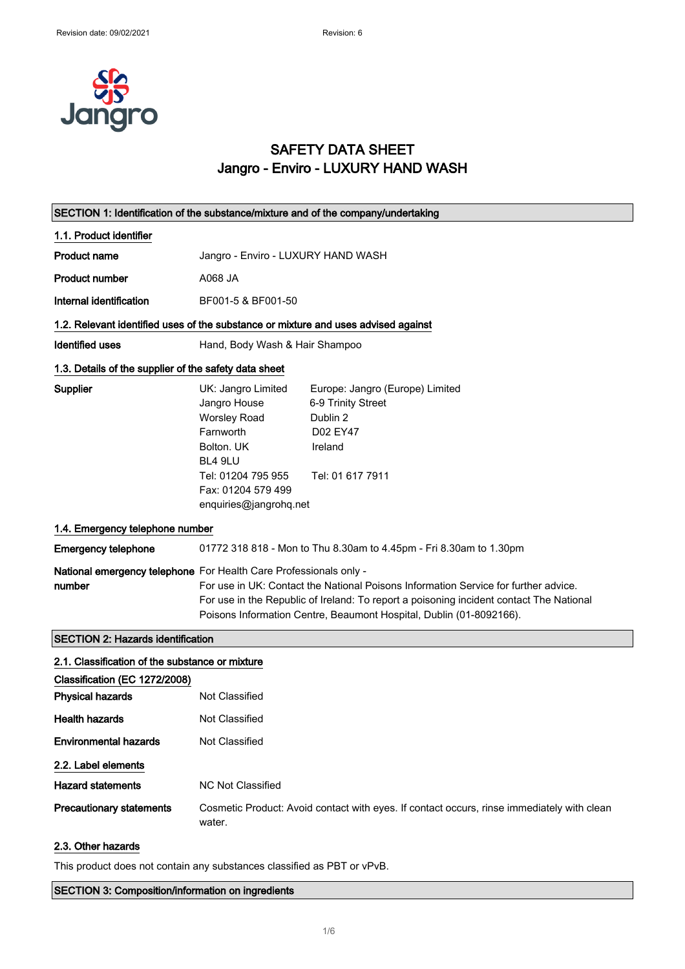

### SAFETY DATA SHEET Jangro - Enviro - LUXURY HAND WASH

| SECTION 1: Identification of the substance/mixture and of the company/undertaking |                                                                                                                                                                                                                                                                                                                            |  |
|-----------------------------------------------------------------------------------|----------------------------------------------------------------------------------------------------------------------------------------------------------------------------------------------------------------------------------------------------------------------------------------------------------------------------|--|
| 1.1. Product identifier                                                           |                                                                                                                                                                                                                                                                                                                            |  |
| <b>Product name</b>                                                               | Jangro - Enviro - LUXURY HAND WASH                                                                                                                                                                                                                                                                                         |  |
| <b>Product number</b>                                                             | A068 JA                                                                                                                                                                                                                                                                                                                    |  |
| Internal identification                                                           | BF001-5 & BF001-50                                                                                                                                                                                                                                                                                                         |  |
|                                                                                   | 1.2. Relevant identified uses of the substance or mixture and uses advised against                                                                                                                                                                                                                                         |  |
| <b>Identified uses</b>                                                            | Hand, Body Wash & Hair Shampoo                                                                                                                                                                                                                                                                                             |  |
| 1.3. Details of the supplier of the safety data sheet                             |                                                                                                                                                                                                                                                                                                                            |  |
| Supplier                                                                          | UK: Jangro Limited<br>Europe: Jangro (Europe) Limited<br>Jangro House<br>6-9 Trinity Street<br><b>Worsley Road</b><br>Dublin 2<br>Farnworth<br>D02 EY47<br>Bolton. UK<br>Ireland<br>BL4 9LU<br>Tel: 01204 795 955<br>Tel: 01 617 7911<br>Fax: 01204 579 499<br>enquiries@jangrohq.net                                      |  |
| 1.4. Emergency telephone number                                                   |                                                                                                                                                                                                                                                                                                                            |  |
| <b>Emergency telephone</b>                                                        | 01772 318 818 - Mon to Thu 8.30am to 4.45pm - Fri 8.30am to 1.30pm                                                                                                                                                                                                                                                         |  |
| number                                                                            | National emergency telephone For Health Care Professionals only -<br>For use in UK: Contact the National Poisons Information Service for further advice.<br>For use in the Republic of Ireland: To report a poisoning incident contact The National<br>Poisons Information Centre, Beaumont Hospital, Dublin (01-8092166). |  |
| <b>SECTION 2: Hazards identification</b>                                          |                                                                                                                                                                                                                                                                                                                            |  |
| 2.1. Classification of the substance or mixture<br>Classification (EC 1272/2008)  |                                                                                                                                                                                                                                                                                                                            |  |
| <b>Physical hazards</b>                                                           | Not Classified                                                                                                                                                                                                                                                                                                             |  |
| <b>Health hazards</b>                                                             | Not Classified                                                                                                                                                                                                                                                                                                             |  |
| <b>Environmental hazards</b>                                                      | Not Classified                                                                                                                                                                                                                                                                                                             |  |
| 2.2. Label elements                                                               |                                                                                                                                                                                                                                                                                                                            |  |
| <b>Hazard statements</b>                                                          | <b>NC Not Classified</b>                                                                                                                                                                                                                                                                                                   |  |
| <b>Precautionary statements</b>                                                   | Cosmetic Product: Avoid contact with eyes. If contact occurs, rinse immediately with clean<br>water.                                                                                                                                                                                                                       |  |
| 2.3. Other hazards                                                                |                                                                                                                                                                                                                                                                                                                            |  |

This product does not contain any substances classified as PBT or vPvB.

SECTION 3: Composition/information on ingredients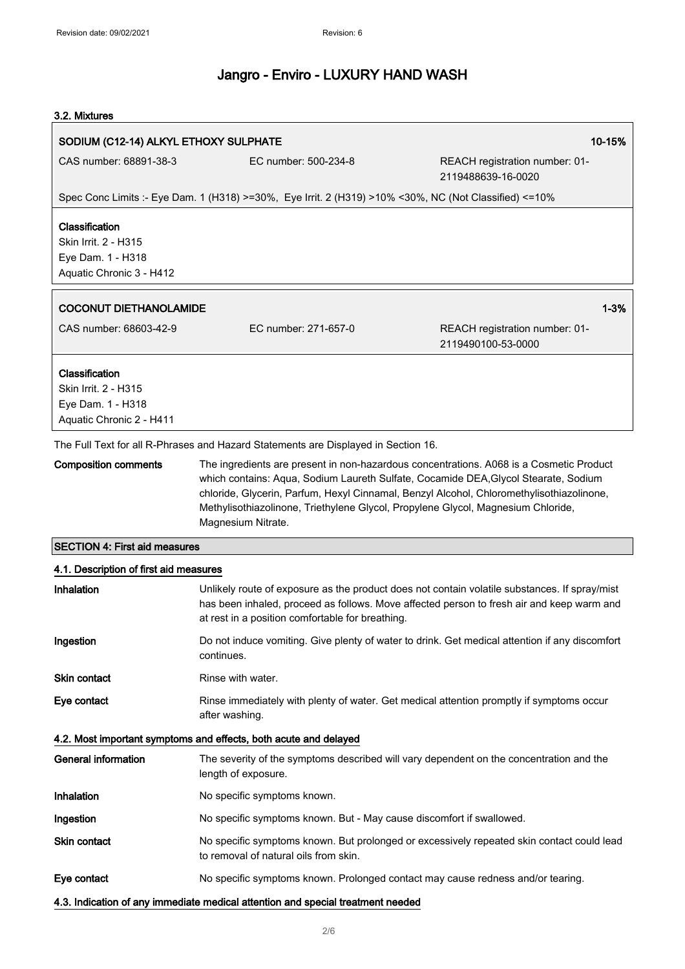#### 3.2. Mixtures

| 10-15%<br>SODIUM (C12-14) ALKYL ETHOXY SULPHATE                                 |                                                                                                                                                                                                                                                                                           |                                                      |
|---------------------------------------------------------------------------------|-------------------------------------------------------------------------------------------------------------------------------------------------------------------------------------------------------------------------------------------------------------------------------------------|------------------------------------------------------|
| CAS number: 68891-38-3                                                          | EC number: 500-234-8                                                                                                                                                                                                                                                                      | REACH registration number: 01-<br>2119488639-16-0020 |
|                                                                                 | Spec Conc Limits :- Eye Dam. 1 (H318) >=30%, Eye Irrit. 2 (H319) >10% <30%, NC (Not Classified) <=10%                                                                                                                                                                                     |                                                      |
| Classification                                                                  |                                                                                                                                                                                                                                                                                           |                                                      |
| Skin Irrit. 2 - H315                                                            |                                                                                                                                                                                                                                                                                           |                                                      |
| Eye Dam. 1 - H318<br>Aquatic Chronic 3 - H412                                   |                                                                                                                                                                                                                                                                                           |                                                      |
|                                                                                 |                                                                                                                                                                                                                                                                                           |                                                      |
| <b>COCONUT DIETHANOLAMIDE</b>                                                   |                                                                                                                                                                                                                                                                                           | $1 - 3%$                                             |
| CAS number: 68603-42-9                                                          | EC number: 271-657-0                                                                                                                                                                                                                                                                      | REACH registration number: 01-<br>2119490100-53-0000 |
| Classification                                                                  |                                                                                                                                                                                                                                                                                           |                                                      |
| Skin Irrit. 2 - H315                                                            |                                                                                                                                                                                                                                                                                           |                                                      |
| Eye Dam. 1 - H318<br>Aquatic Chronic 2 - H411                                   |                                                                                                                                                                                                                                                                                           |                                                      |
|                                                                                 |                                                                                                                                                                                                                                                                                           |                                                      |
| <b>Composition comments</b>                                                     | The Full Text for all R-Phrases and Hazard Statements are Displayed in Section 16.<br>The ingredients are present in non-hazardous concentrations. A068 is a Cosmetic Product                                                                                                             |                                                      |
|                                                                                 | which contains: Aqua, Sodium Laureth Sulfate, Cocamide DEA, Glycol Stearate, Sodium<br>chloride, Glycerin, Parfum, Hexyl Cinnamal, Benzyl Alcohol, Chloromethylisothiazolinone,<br>Methylisothiazolinone, Triethylene Glycol, Propylene Glycol, Magnesium Chloride,<br>Magnesium Nitrate. |                                                      |
| <b>SECTION 4: First aid measures</b>                                            |                                                                                                                                                                                                                                                                                           |                                                      |
| 4.1. Description of first aid measures                                          |                                                                                                                                                                                                                                                                                           |                                                      |
| Inhalation                                                                      | Unlikely route of exposure as the product does not contain volatile substances. If spray/mist<br>has been inhaled, proceed as follows. Move affected person to fresh air and keep warm and<br>at rest in a position comfortable for breathing.                                            |                                                      |
| Ingestion                                                                       | Do not induce vomiting. Give plenty of water to drink. Get medical attention if any discomfort<br>continues.                                                                                                                                                                              |                                                      |
| <b>Skin contact</b>                                                             | Rinse with water.                                                                                                                                                                                                                                                                         |                                                      |
| Eye contact                                                                     | Rinse immediately with plenty of water. Get medical attention promptly if symptoms occur<br>after washing.                                                                                                                                                                                |                                                      |
|                                                                                 | 4.2. Most important symptoms and effects, both acute and delayed                                                                                                                                                                                                                          |                                                      |
| <b>General information</b>                                                      | The severity of the symptoms described will vary dependent on the concentration and the<br>length of exposure.                                                                                                                                                                            |                                                      |
| Inhalation                                                                      | No specific symptoms known.                                                                                                                                                                                                                                                               |                                                      |
| Ingestion                                                                       | No specific symptoms known. But - May cause discomfort if swallowed.                                                                                                                                                                                                                      |                                                      |
| Skin contact                                                                    | No specific symptoms known. But prolonged or excessively repeated skin contact could lead<br>to removal of natural oils from skin.                                                                                                                                                        |                                                      |
| Eye contact                                                                     | No specific symptoms known. Prolonged contact may cause redness and/or tearing.                                                                                                                                                                                                           |                                                      |
| 4.3. Indication of any immediate medical attention and special treatment needed |                                                                                                                                                                                                                                                                                           |                                                      |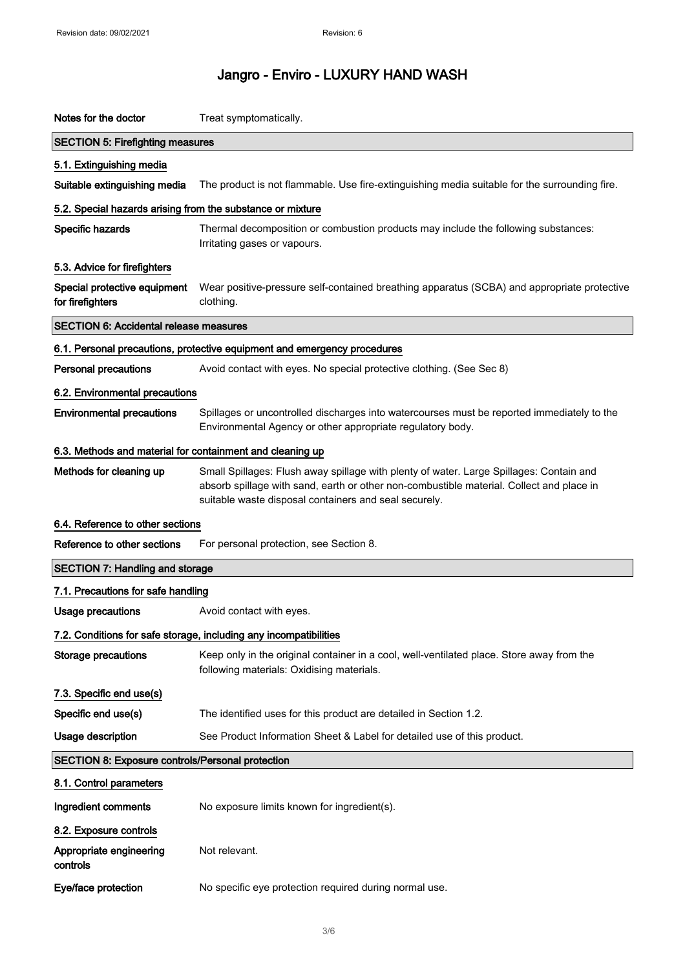| Notes for the doctor                                       | Treat symptomatically.                                                                                                                                                                                                                       |  |  |
|------------------------------------------------------------|----------------------------------------------------------------------------------------------------------------------------------------------------------------------------------------------------------------------------------------------|--|--|
| <b>SECTION 5: Firefighting measures</b>                    |                                                                                                                                                                                                                                              |  |  |
| 5.1. Extinguishing media                                   |                                                                                                                                                                                                                                              |  |  |
| Suitable extinguishing media                               | The product is not flammable. Use fire-extinguishing media suitable for the surrounding fire.                                                                                                                                                |  |  |
| 5.2. Special hazards arising from the substance or mixture |                                                                                                                                                                                                                                              |  |  |
| Specific hazards                                           | Thermal decomposition or combustion products may include the following substances:<br>Irritating gases or vapours.                                                                                                                           |  |  |
| 5.3. Advice for firefighters                               |                                                                                                                                                                                                                                              |  |  |
| Special protective equipment<br>for firefighters           | Wear positive-pressure self-contained breathing apparatus (SCBA) and appropriate protective<br>clothing.                                                                                                                                     |  |  |
| <b>SECTION 6: Accidental release measures</b>              |                                                                                                                                                                                                                                              |  |  |
|                                                            | 6.1. Personal precautions, protective equipment and emergency procedures                                                                                                                                                                     |  |  |
| <b>Personal precautions</b>                                | Avoid contact with eyes. No special protective clothing. (See Sec 8)                                                                                                                                                                         |  |  |
| 6.2. Environmental precautions                             |                                                                                                                                                                                                                                              |  |  |
| <b>Environmental precautions</b>                           | Spillages or uncontrolled discharges into watercourses must be reported immediately to the<br>Environmental Agency or other appropriate regulatory body.                                                                                     |  |  |
| 6.3. Methods and material for containment and cleaning up  |                                                                                                                                                                                                                                              |  |  |
| Methods for cleaning up                                    | Small Spillages: Flush away spillage with plenty of water. Large Spillages: Contain and<br>absorb spillage with sand, earth or other non-combustible material. Collect and place in<br>suitable waste disposal containers and seal securely. |  |  |
| 6.4. Reference to other sections                           |                                                                                                                                                                                                                                              |  |  |
| Reference to other sections                                | For personal protection, see Section 8.                                                                                                                                                                                                      |  |  |
| <b>SECTION 7: Handling and storage</b>                     |                                                                                                                                                                                                                                              |  |  |
| 7.1. Precautions for safe handling                         |                                                                                                                                                                                                                                              |  |  |
| <b>Usage precautions</b>                                   | Avoid contact with eyes.                                                                                                                                                                                                                     |  |  |
|                                                            | 7.2. Conditions for safe storage, including any incompatibilities                                                                                                                                                                            |  |  |
| <b>Storage precautions</b>                                 | Keep only in the original container in a cool, well-ventilated place. Store away from the<br>following materials: Oxidising materials.                                                                                                       |  |  |
| 7.3. Specific end use(s)                                   |                                                                                                                                                                                                                                              |  |  |
| Specific end use(s)                                        | The identified uses for this product are detailed in Section 1.2.                                                                                                                                                                            |  |  |
| Usage description                                          | See Product Information Sheet & Label for detailed use of this product.                                                                                                                                                                      |  |  |
| <b>SECTION 8: Exposure controls/Personal protection</b>    |                                                                                                                                                                                                                                              |  |  |
| 8.1. Control parameters                                    |                                                                                                                                                                                                                                              |  |  |
| Ingredient comments                                        | No exposure limits known for ingredient(s).                                                                                                                                                                                                  |  |  |
| 8.2. Exposure controls                                     |                                                                                                                                                                                                                                              |  |  |
| Appropriate engineering<br>controls                        | Not relevant.                                                                                                                                                                                                                                |  |  |
| Eye/face protection                                        | No specific eye protection required during normal use.                                                                                                                                                                                       |  |  |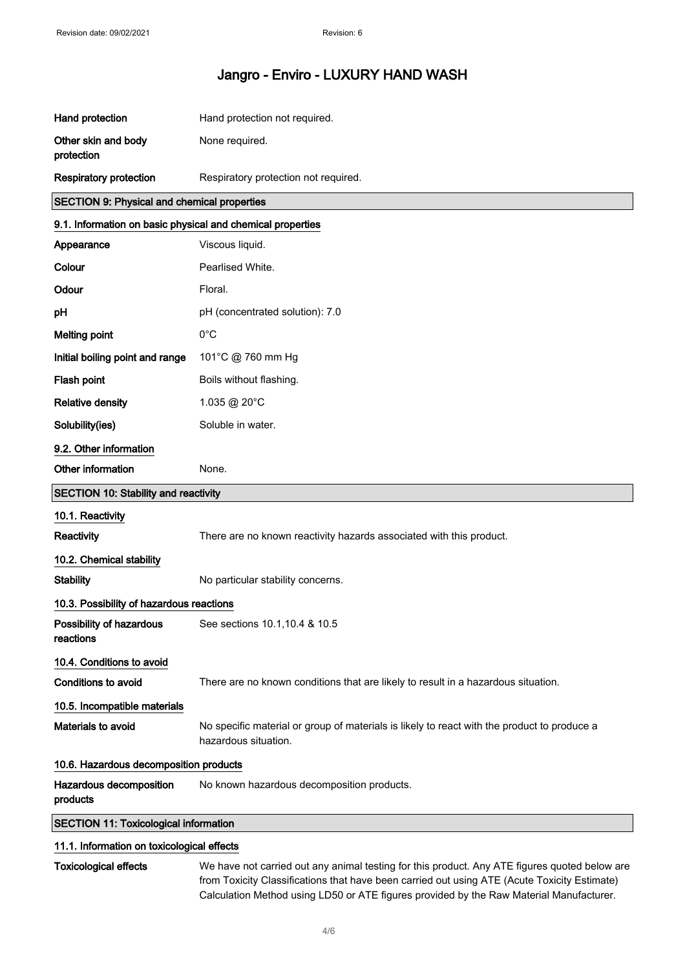| Hand protection                                            | Hand protection not required.                                                                                       |  |
|------------------------------------------------------------|---------------------------------------------------------------------------------------------------------------------|--|
| Other skin and body<br>protection                          | None required.                                                                                                      |  |
| <b>Respiratory protection</b>                              | Respiratory protection not required.                                                                                |  |
| SECTION 9: Physical and chemical properties                |                                                                                                                     |  |
| 9.1. Information on basic physical and chemical properties |                                                                                                                     |  |
| Appearance                                                 | Viscous liquid.                                                                                                     |  |
| Colour                                                     | Pearlised White.                                                                                                    |  |
| Odour                                                      | Floral.                                                                                                             |  |
| рH                                                         | pH (concentrated solution): 7.0                                                                                     |  |
| <b>Melting point</b>                                       | $0^{\circ}$ C                                                                                                       |  |
| Initial boiling point and range                            | 101°C @ 760 mm Hg                                                                                                   |  |
| Flash point                                                | Boils without flashing.                                                                                             |  |
| <b>Relative density</b>                                    | 1.035 @ 20°C                                                                                                        |  |
| Solubility(ies)                                            | Soluble in water.                                                                                                   |  |
| 9.2. Other information                                     |                                                                                                                     |  |
| Other information                                          | None.                                                                                                               |  |
| <b>SECTION 10: Stability and reactivity</b>                |                                                                                                                     |  |
| 10.1. Reactivity                                           |                                                                                                                     |  |
| Reactivity                                                 | There are no known reactivity hazards associated with this product.                                                 |  |
| 10.2. Chemical stability                                   |                                                                                                                     |  |
| <b>Stability</b>                                           | No particular stability concerns.                                                                                   |  |
| 10.3. Possibility of hazardous reactions                   |                                                                                                                     |  |
| Possibility of hazardous<br>reactions                      | See sections 10.1, 10.4 & 10.5                                                                                      |  |
| 10.4. Conditions to avoid                                  |                                                                                                                     |  |
| <b>Conditions to avoid</b>                                 | There are no known conditions that are likely to result in a hazardous situation.                                   |  |
| 10.5. Incompatible materials                               |                                                                                                                     |  |
| Materials to avoid                                         | No specific material or group of materials is likely to react with the product to produce a<br>hazardous situation. |  |
| 10.6. Hazardous decomposition products                     |                                                                                                                     |  |
|                                                            |                                                                                                                     |  |
| Hazardous decomposition<br>products                        | No known hazardous decomposition products.                                                                          |  |

#### 11.1. Information on toxicological effects

Toxicological effects We have not carried out any animal testing for this product. Any ATE figures quoted below are from Toxicity Classifications that have been carried out using ATE (Acute Toxicity Estimate) Calculation Method using LD50 or ATE figures provided by the Raw Material Manufacturer.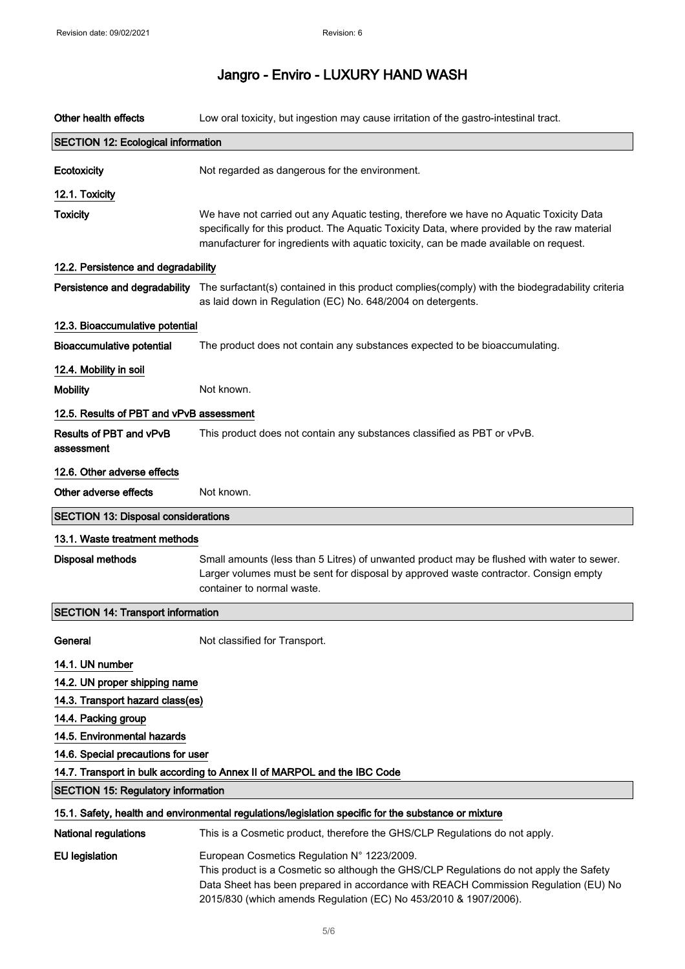| Other health effects                                                     | Low oral toxicity, but ingestion may cause irritation of the gastro-intestinal tract.                                                                                                                                                                                                            |  |
|--------------------------------------------------------------------------|--------------------------------------------------------------------------------------------------------------------------------------------------------------------------------------------------------------------------------------------------------------------------------------------------|--|
| <b>SECTION 12: Ecological information</b>                                |                                                                                                                                                                                                                                                                                                  |  |
| Ecotoxicity                                                              | Not regarded as dangerous for the environment.                                                                                                                                                                                                                                                   |  |
| 12.1. Toxicity                                                           |                                                                                                                                                                                                                                                                                                  |  |
| <b>Toxicity</b>                                                          | We have not carried out any Aquatic testing, therefore we have no Aquatic Toxicity Data<br>specifically for this product. The Aquatic Toxicity Data, where provided by the raw material<br>manufacturer for ingredients with aquatic toxicity, can be made available on request.                 |  |
| 12.2. Persistence and degradability                                      |                                                                                                                                                                                                                                                                                                  |  |
|                                                                          | Persistence and degradability The surfactant(s) contained in this product complies(comply) with the biodegradability criteria<br>as laid down in Regulation (EC) No. 648/2004 on detergents.                                                                                                     |  |
| 12.3. Bioaccumulative potential                                          |                                                                                                                                                                                                                                                                                                  |  |
| <b>Bioaccumulative potential</b>                                         | The product does not contain any substances expected to be bioaccumulating.                                                                                                                                                                                                                      |  |
| 12.4. Mobility in soil                                                   |                                                                                                                                                                                                                                                                                                  |  |
| <b>Mobility</b>                                                          | Not known.                                                                                                                                                                                                                                                                                       |  |
| 12.5. Results of PBT and vPvB assessment                                 |                                                                                                                                                                                                                                                                                                  |  |
| Results of PBT and vPvB<br>assessment                                    | This product does not contain any substances classified as PBT or vPvB.                                                                                                                                                                                                                          |  |
| 12.6. Other adverse effects                                              |                                                                                                                                                                                                                                                                                                  |  |
| Other adverse effects                                                    | Not known.                                                                                                                                                                                                                                                                                       |  |
| <b>SECTION 13: Disposal considerations</b>                               |                                                                                                                                                                                                                                                                                                  |  |
| 13.1. Waste treatment methods                                            |                                                                                                                                                                                                                                                                                                  |  |
| <b>Disposal methods</b>                                                  | Small amounts (less than 5 Litres) of unwanted product may be flushed with water to sewer.<br>Larger volumes must be sent for disposal by approved waste contractor. Consign empty<br>container to normal waste.                                                                                 |  |
| <b>SECTION 14: Transport information</b>                                 |                                                                                                                                                                                                                                                                                                  |  |
| General                                                                  | Not classified for Transport.                                                                                                                                                                                                                                                                    |  |
| 14.1. UN number                                                          |                                                                                                                                                                                                                                                                                                  |  |
| 14.2. UN proper shipping name                                            |                                                                                                                                                                                                                                                                                                  |  |
| 14.3. Transport hazard class(es)                                         |                                                                                                                                                                                                                                                                                                  |  |
| 14.4. Packing group                                                      |                                                                                                                                                                                                                                                                                                  |  |
| 14.5. Environmental hazards                                              |                                                                                                                                                                                                                                                                                                  |  |
| 14.6. Special precautions for user                                       |                                                                                                                                                                                                                                                                                                  |  |
| 14.7. Transport in bulk according to Annex II of MARPOL and the IBC Code |                                                                                                                                                                                                                                                                                                  |  |
| <b>SECTION 15: Regulatory information</b>                                |                                                                                                                                                                                                                                                                                                  |  |
|                                                                          | 15.1. Safety, health and environmental regulations/legislation specific for the substance or mixture                                                                                                                                                                                             |  |
| <b>National regulations</b>                                              | This is a Cosmetic product, therefore the GHS/CLP Regulations do not apply.                                                                                                                                                                                                                      |  |
| <b>EU legislation</b>                                                    | European Cosmetics Regulation N° 1223/2009.<br>This product is a Cosmetic so although the GHS/CLP Regulations do not apply the Safety<br>Data Sheet has been prepared in accordance with REACH Commission Regulation (EU) No<br>2015/830 (which amends Regulation (EC) No 453/2010 & 1907/2006). |  |